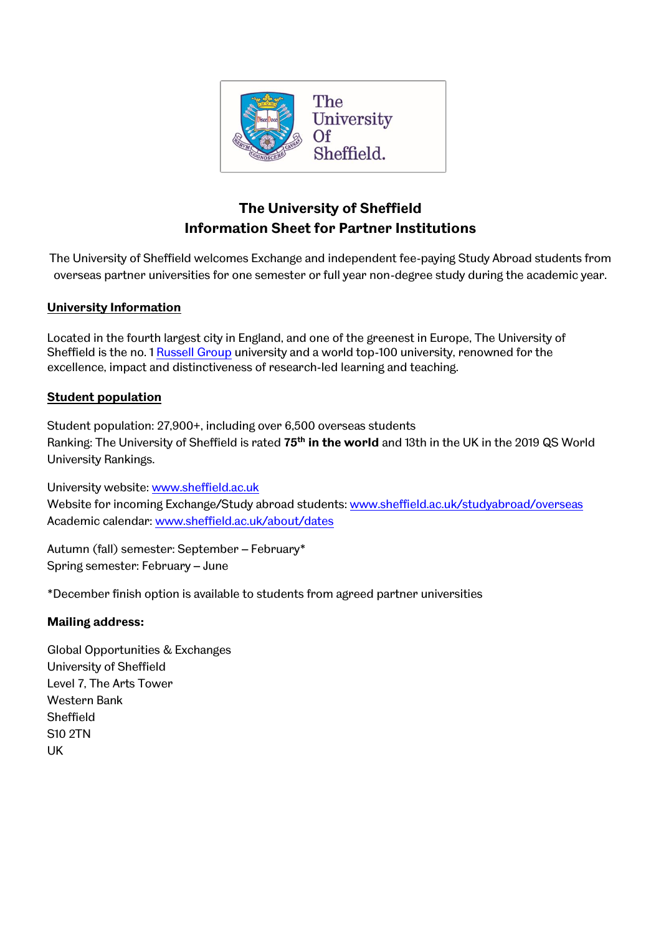

# **The University of Sheffield Information Sheet for Partner Institutions**

The University of Sheffield welcomes Exchange and independent fee-paying Study Abroad students from overseas partner universities for one semester or full year non-degree study during the academic year.

# **University Information**

Located in the fourth largest city in England, and one of the greenest in Europe, The University of Sheffield is the no. 1 [Russell Group](http://russellgroup.ac.uk/) university and a world top-100 university, renowned for the excellence, impact and distinctiveness of research-led learning and teaching.

# **Student population**

Student population: 27,900+, including over 6,500 overseas students Ranking: The University of Sheffield is rated **75th in the world** and 13th in the UK in the 2019 QS World University Rankings.

University website: [www.sheffield.ac.uk](http://www.sheffield.ac.uk/) Website for incoming Exchange/Study abroad students: [www.sheffield.ac.uk/studyabroad/overseas](http://www.sheffield.ac.uk/studyabroad/overseas) Academic calendar: [www.sheffield.ac.uk/about/dates](http://www.sheffield.ac.uk/about/dates)

Autumn (fall) semester: September – February\* Spring semester: February – June

\*December finish option is available to students from agreed partner universities

# **Mailing address:**

Global Opportunities & Exchanges University of Sheffield Level 7, The Arts Tower Western Bank Sheffield S10 2TN UK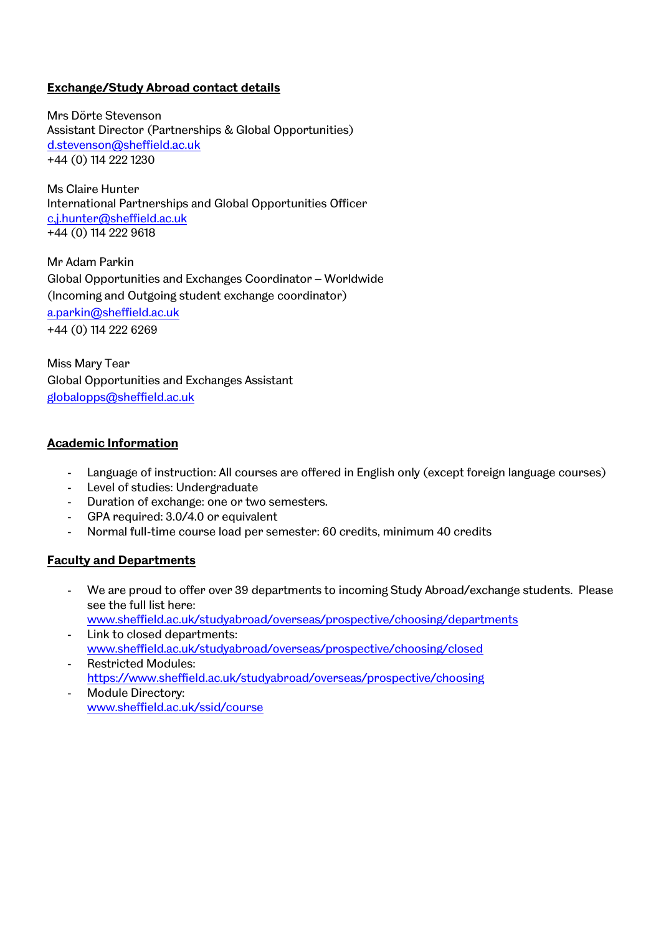# **Exchange/Study Abroad contact details**

Mrs Dörte Stevenson Assistant Director (Partnerships & Global Opportunities) [d.stevenson@sheffield.ac.uk](mailto:d.stevenson@sheffield.ac.uk) +44 (0) 114 222 1230

Ms Claire Hunter International Partnerships and Global Opportunities Officer [c.j.hunter@sheffield.ac.uk](mailto:c.j.hunter@sheffield.ac.uk) +44 (0) 114 222 9618

Mr Adam Parkin Global Opportunities and Exchanges Coordinator – Worldwide (Incoming and Outgoing student exchange coordinator) [a.parkin@sheffield.ac.uk](mailto:a.parkin@sheffield.ac.uk) +44 (0) 114 222 6269

Miss Mary Tear Global Opportunities and Exchanges Assistant [globalopps@sheffield.ac.uk](mailto:globalopps@sheffield.ac.uk)

# **Academic Information**

- Language of instruction: All courses are offered in English only (except foreign language courses)
- Level of studies: Undergraduate
- Duration of exchange: one or two semesters.
- GPA required: 3.0/4.0 or equivalent
- Normal full-time course load per semester: 60 credits, minimum 40 credits

# **Faculty and Departments**

- We are proud to offer over 39 departments to incoming Study Abroad/exchange students. Please see the full list here: [www.sheffield.ac.uk/studyabroad/overseas/prospective/choosing/departments](http://www.sheffield.ac.uk/studyabroad/overseas/prospective/choosing/departments)
- Link to closed departments: [www.sheffield.ac.uk/studyabroad/overseas/prospective/choosing/closed](http://www.sheffield.ac.uk/studyabroad/overseas/prospective/choosing/closed)
- Restricted Modules: <https://www.sheffield.ac.uk/studyabroad/overseas/prospective/choosing>
- Module Directory: [www.sheffield.ac.uk/ssid/course](http://www.sheffield.ac.uk/ssid/course)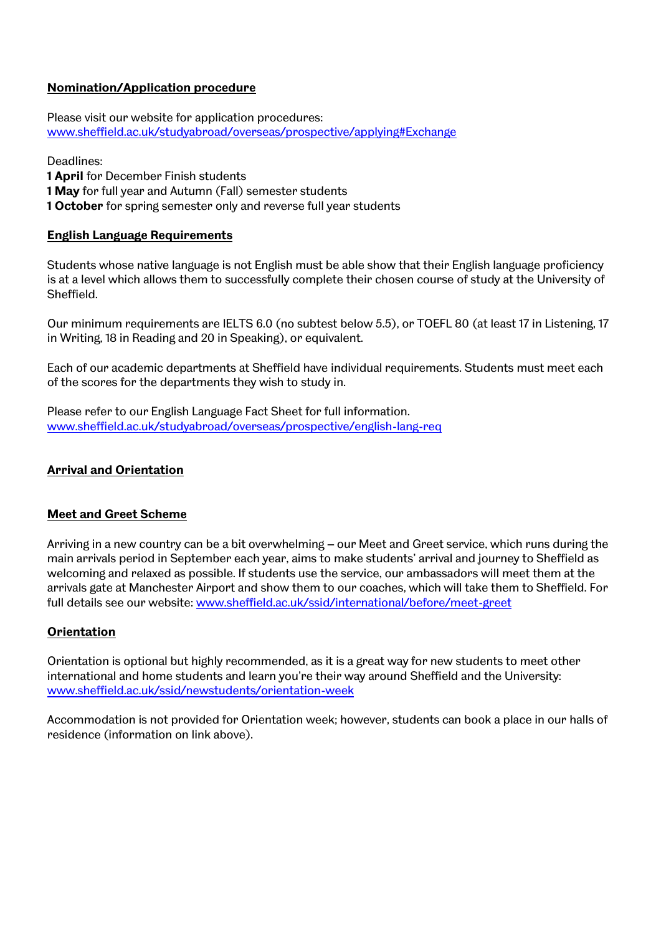# **Nomination/Application procedure**

Please visit our website for application procedures: [www.sheffield.ac.uk/studyabroad/overseas/prospective/applying#Exchange](http://www.sheffield.ac.uk/studyabroad/overseas/prospective/applying#Exchange)

Deadlines:

**1 April** for December Finish students

**1 May** for full year and Autumn (Fall) semester students

**1 October** for spring semester only and reverse full year students

# **English Language Requirements**

Students whose native language is not English must be able show that their English language proficiency is at a level which allows them to successfully complete their chosen course of study at the University of Sheffield.

Our minimum requirements are IELTS 6.0 (no subtest below 5.5), or TOEFL 80 (at least 17 in Listening, 17 in Writing, 18 in Reading and 20 in Speaking), or equivalent.

Each of our academic departments at Sheffield have individual requirements. Students must meet each of the scores for the departments they wish to study in.

Please refer to our English Language Fact Sheet for full information. [www.sheffield.ac.uk/studyabroad/overseas/prospective/english-lang-req](http://www.sheffield.ac.uk/studyabroad/overseas/prospective/english-lang-req)

# **Arrival and Orientation**

# **Meet and Greet Scheme**

Arriving in a new country can be a bit overwhelming – our Meet and Greet service, which runs during the main arrivals period in September each year, aims to make students' arrival and journey to Sheffield as welcoming and relaxed as possible. If students use the service, our ambassadors will meet them at the arrivals gate at Manchester Airport and show them to our coaches, which will take them to Sheffield. For full details see our website: [www.sheffield.ac.uk/ssid/international/before/meet-greet](http://www.sheffield.ac.uk/ssid/international/before/meet-greet)

# **Orientation**

Orientation is optional but highly recommended, as it is a great way for new students to meet other international and home students and learn you're their way around Sheffield and the University: [www.sheffield.ac.uk/ssid/newstudents/orientation-week](http://www.sheffield.ac.uk/ssid/newstudents/orientation-week)

Accommodation is not provided for Orientation week; however, students can book a place in our halls of residence (information on link above).